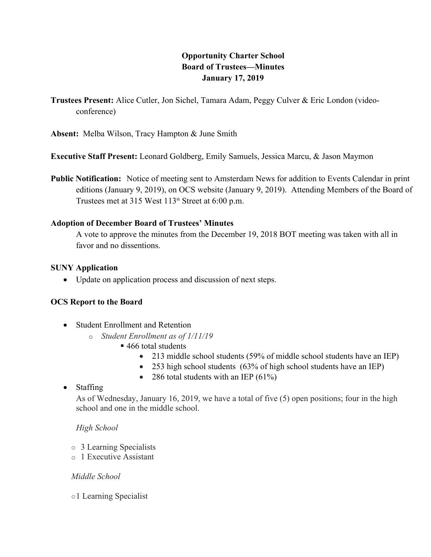# **Opportunity Charter School<br>Board of Trustees—Minutes<br>January 17, 2019<br>chel, Tamara Adam, Peggy Culver & Eric I<br>pn & June Smith Board of Trustees—Minutes January 17, 2019**

**Trustees Present:** Alice Cutler, Jon Sichel, Tamara Adam, Peggy Culver & Eric London (videoconference)

**Absent:** Melba Wilson, Tracy Hampton & June Smith

**Executive Staff Present:** Leonard Goldberg, Emily Samuels, Jessica Marcu, & Jason Maymon

**Public Notification:** Notice of meeting sent to Amsterdam News for addition to Events Calendar in print editions (January 9, 2019), on OCS website (January 9, 2019). Attending Members of the Board of Trustees met at 315 West  $113<sup>th</sup>$  Street at 6:00 p.m.

## **Adoption of December Board of Trustees' Minutes**

A vote to approve the minutes from the December 19, 2018 BOT meeting was taken with all in favor and no dissentions.

### **SUNY Application**

• Update on application process and discussion of next steps.

# **OCS Report to the Board**

- Student Enrollment and Retention
	- o *Student Enrollment as of 1/11/19*
		- 466 total students
			- 213 middle school students (59% of middle school students have an IEP)
			- 253 high school students (63% of high school students have an IEP)
			- 286 total students with an IEP  $(61\%)$

# • Staffing

As of Wednesday, January 16, 2019, we have a total of five (5) open positions; four in the high school and one in the middle school.

# *High School*

- o 3 Learning Specialists
- o 1 Executive Assistant

### *Middle School*

o1 Learning Specialist